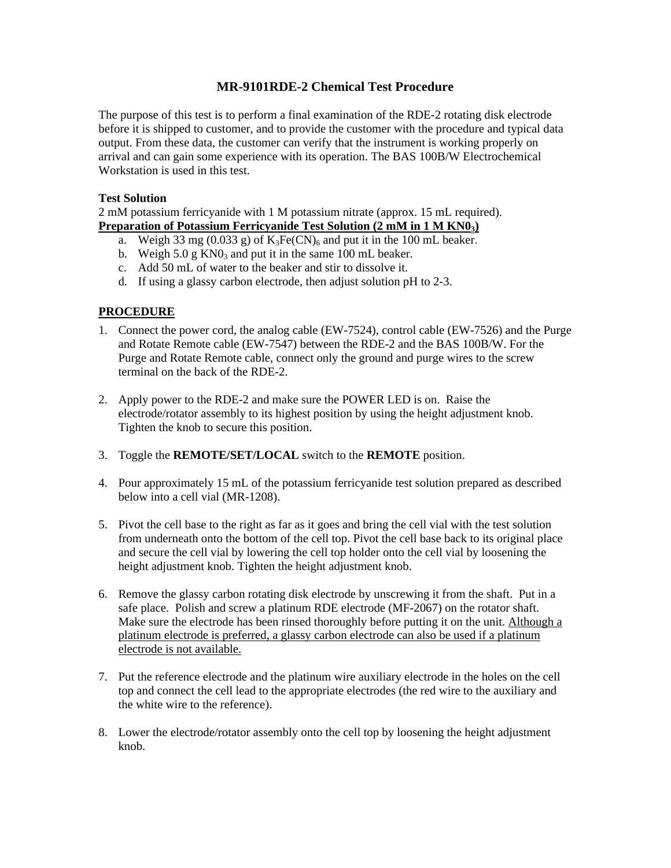## **MR-9101RDE-2 Chemical Test Procedure**

The purpose of this test is to perform a final examination of the RDE-2 rotating disk electrode before it is shipped to customer, and to provide the customer with the procedure and typical data output. From these data, the customer can verify that the instrument is working properly on arrival and can gain some experience with its operation. The BAS 100B/W Electrochemical Workstation is used in this test.

## **Test Solution**

2 mM potassium ferricyanide with 1 M potassium nitrate (approx. 15 mL required). **Preparation of Potassium Ferricyanide Test Solution (2 mM in 1 M KN03)**

- a. Weigh 33 mg (0.033 g) of  $K_3Fe(CN)_6$  and put it in the 100 mL beaker.
- b. Weigh  $5.0 \text{ g K}$ N $0_3$  and put it in the same 100 mL beaker.
- c. Add 50 mL of water to the beaker and stir to dissolve it.
- d. If using a glassy carbon electrode, then adjust solution pH to 2-3.

## **PROCEDURE**

- 1. Connect the power cord, the analog cable (EW-7524), control cable (EW-7526) and the Purge and Rotate Remote cable (EW-7547) between the RDE-2 and the BAS 100B/W. For the Purge and Rotate Remote cable, connect only the ground and purge wires to the screw terminal on the back of the RDE-2.
- 2. Apply power to the RDE-2 and make sure the POWER LED is on. Raise the electrode/rotator assembly to its highest position by using the height adjustment knob. Tighten the knob to secure this position.
- 3. Toggle the **REMOTE/SET/LOCAL** switch to the **REMOTE** position.
- 4. Pour approximately 15 mL of the potassium ferricyanide test solution prepared as described below into a cell vial (MR-1208).
- 5. Pivot the cell base to the right as far as it goes and bring the cell vial with the test solution from underneath onto the bottom of the cell top. Pivot the cell base back to its original place and secure the cell vial by lowering the cell top holder onto the cell vial by loosening the height adjustment knob. Tighten the height adjustment knob.
- 6. Remove the glassy carbon rotating disk electrode by unscrewing it from the shaft. Put in a safe place. Polish and screw a platinum RDE electrode (MF-2067) on the rotator shaft. Make sure the electrode has been rinsed thoroughly before putting it on the unit. Although a platinum electrode is preferred, a glassy carbon electrode can also be used if a platinum electrode is not available.
- 7. Put the reference electrode and the platinum wire auxiliary electrode in the holes on the cell top and connect the cell lead to the appropriate electrodes (the red wire to the auxiliary and the white wire to the reference).
- 8. Lower the electrode/rotator assembly onto the cell top by loosening the height adjustment knob.